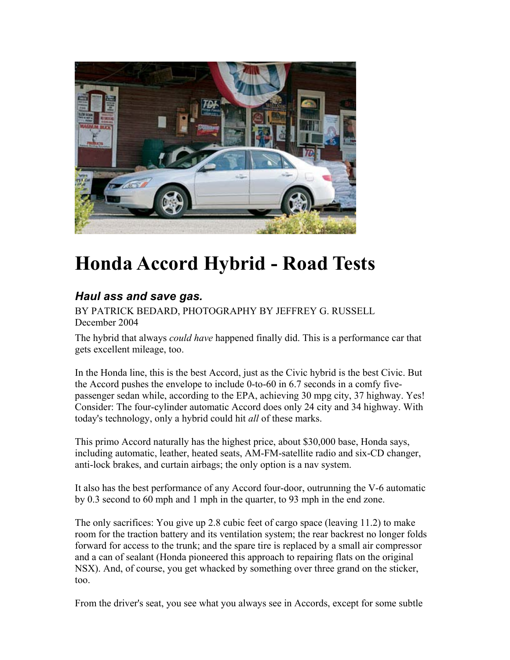

# **Honda Accord Hybrid - Road Tests**

# *Haul ass and save gas.*

BY PATRICK BEDARD, PHOTOGRAPHY BY JEFFREY G. RUSSELL December 2004

The hybrid that always *could have* happened finally did. This is a performance car that gets excellent mileage, too.

In the Honda line, this is the best Accord, just as the Civic hybrid is the best Civic. But the Accord pushes the envelope to include 0-to-60 in 6.7 seconds in a comfy fivepassenger sedan while, according to the EPA, achieving 30 mpg city, 37 highway. Yes! Consider: The four-cylinder automatic Accord does only 24 city and 34 highway. With today's technology, only a hybrid could hit *all* of these marks.

This primo Accord naturally has the highest price, about \$30,000 base, Honda says, including automatic, leather, heated seats, AM-FM-satellite radio and six-CD changer, anti-lock brakes, and curtain airbags; the only option is a nav system.

It also has the best performance of any Accord four-door, outrunning the V-6 automatic by 0.3 second to 60 mph and 1 mph in the quarter, to 93 mph in the end zone.

The only sacrifices: You give up 2.8 cubic feet of cargo space (leaving 11.2) to make room for the traction battery and its ventilation system; the rear backrest no longer folds forward for access to the trunk; and the spare tire is replaced by a small air compressor and a can of sealant (Honda pioneered this approach to repairing flats on the original NSX). And, of course, you get whacked by something over three grand on the sticker, too.

From the driver's seat, you see what you always see in Accords, except for some subtle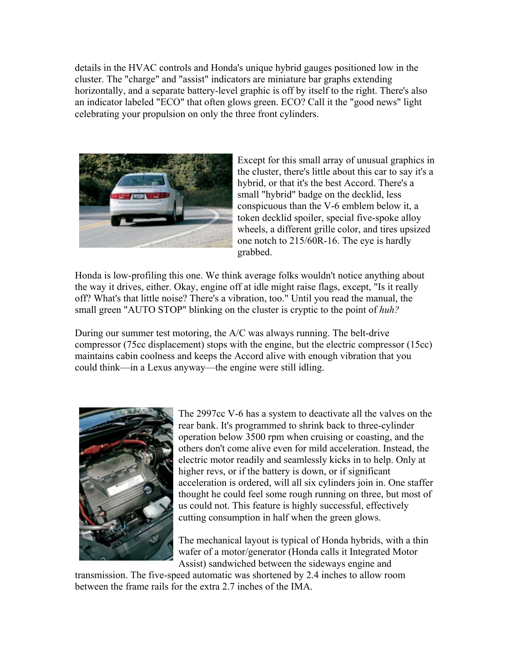details in the HVAC controls and Honda's unique hybrid gauges positioned low in the cluster. The "charge" and "assist" indicators are miniature bar graphs extending horizontally, and a separate battery-level graphic is off by itself to the right. There's also an indicator labeled "ECO" that often glows green. ECO? Call it the "good news" light celebrating your propulsion on only the three front cylinders.



Except for this small array of unusual graphics in the cluster, there's little about this car to say it's a hybrid, or that it's the best Accord. There's a small "hybrid" badge on the decklid, less conspicuous than the V-6 emblem below it, a token decklid spoiler, special five-spoke alloy wheels, a different grille color, and tires upsized one notch to 215/60R-16. The eye is hardly grabbed.

Honda is low-profiling this one. We think average folks wouldn't notice anything about the way it drives, either. Okay, engine off at idle might raise flags, except, "Is it really off? What's that little noise? There's a vibration, too." Until you read the manual, the small green "AUTO STOP" blinking on the cluster is cryptic to the point of *huh?*

During our summer test motoring, the A/C was always running. The belt-drive compressor (75cc displacement) stops with the engine, but the electric compressor (15cc) maintains cabin coolness and keeps the Accord alive with enough vibration that you could think—in a Lexus anyway—the engine were still idling.



The 2997cc V-6 has a system to deactivate all the valves on the rear bank. It's programmed to shrink back to three-cylinder operation below 3500 rpm when cruising or coasting, and the others don't come alive even for mild acceleration. Instead, the electric motor readily and seamlessly kicks in to help. Only at higher revs, or if the battery is down, or if significant acceleration is ordered, will all six cylinders join in. One staffer thought he could feel some rough running on three, but most of us could not. This feature is highly successful, effectively cutting consumption in half when the green glows.

The mechanical layout is typical of Honda hybrids, with a thin wafer of a motor/generator (Honda calls it Integrated Motor Assist) sandwiched between the sideways engine and

transmission. The five-speed automatic was shortened by 2.4 inches to allow room between the frame rails for the extra 2.7 inches of the IMA.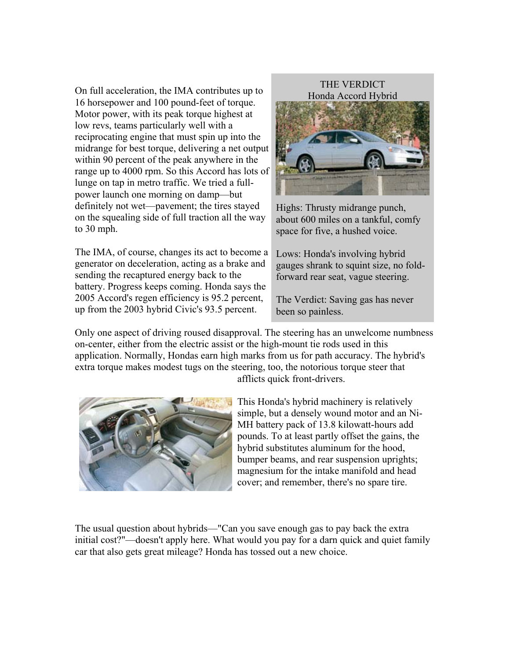On full acceleration, the IMA contributes up to 16 horsepower and 100 pound-feet of torque. Motor power, with its peak torque highest at low revs, teams particularly well with a reciprocating engine that must spin up into the midrange for best torque, delivering a net output within 90 percent of the peak anywhere in the range up to 4000 rpm. So this Accord has lots of lunge on tap in metro traffic. We tried a fullpower launch one morning on damp—but definitely not wet—pavement; the tires stayed on the squealing side of full traction all the way to 30 mph.

The IMA, of course, changes its act to become a generator on deceleration, acting as a brake and sending the recaptured energy back to the battery. Progress keeps coming. Honda says the 2005 Accord's regen efficiency is 95.2 percent, up from the 2003 hybrid Civic's 93.5 percent.



Highs: Thrusty midrange punch, about 600 miles on a tankful, comfy space for five, a hushed voice.

Lows: Honda's involving hybrid gauges shrank to squint size, no foldforward rear seat, vague steering.

The Verdict: Saving gas has never been so painless.

Only one aspect of driving roused disapproval. The steering has an unwelcome numbness on-center, either from the electric assist or the high-mount tie rods used in this application. Normally, Hondas earn high marks from us for path accuracy. The hybrid's extra torque makes modest tugs on the steering, too, the notorious torque steer that afflicts quick front-drivers.



This Honda's hybrid machinery is relatively simple, but a densely wound motor and an Ni-MH battery pack of 13.8 kilowatt-hours add pounds. To at least partly offset the gains, the hybrid substitutes aluminum for the hood, bumper beams, and rear suspension uprights; magnesium for the intake manifold and head cover; and remember, there's no spare tire.

The usual question about hybrids—"Can you save enough gas to pay back the extra initial cost?"—doesn't apply here. What would you pay for a darn quick and quiet family car that also gets great mileage? Honda has tossed out a new choice.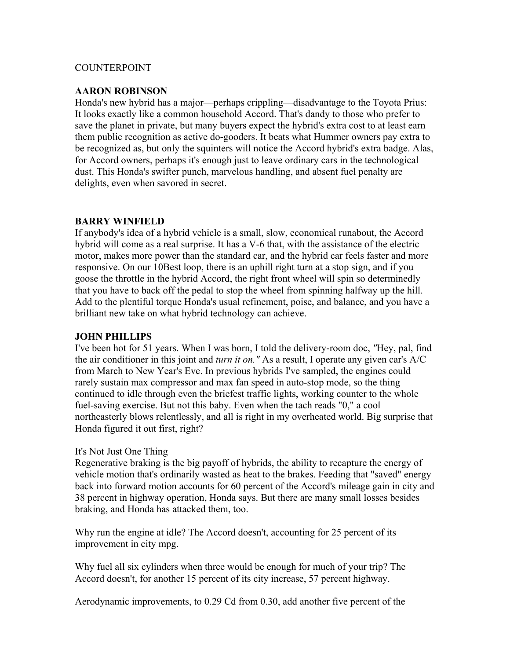#### COUNTERPOINT

#### **AARON ROBINSON**

Honda's new hybrid has a major—perhaps crippling—disadvantage to the Toyota Prius: It looks exactly like a common household Accord. That's dandy to those who prefer to save the planet in private, but many buyers expect the hybrid's extra cost to at least earn them public recognition as active do-gooders. It beats what Hummer owners pay extra to be recognized as, but only the squinters will notice the Accord hybrid's extra badge. Alas, for Accord owners, perhaps it's enough just to leave ordinary cars in the technological dust. This Honda's swifter punch, marvelous handling, and absent fuel penalty are delights, even when savored in secret.

#### **BARRY WINFIELD**

If anybody's idea of a hybrid vehicle is a small, slow, economical runabout, the Accord hybrid will come as a real surprise. It has a V-6 that, with the assistance of the electric motor, makes more power than the standard car, and the hybrid car feels faster and more responsive. On our 10Best loop, there is an uphill right turn at a stop sign, and if you goose the throttle in the hybrid Accord, the right front wheel will spin so determinedly that you have to back off the pedal to stop the wheel from spinning halfway up the hill. Add to the plentiful torque Honda's usual refinement, poise, and balance, and you have a brilliant new take on what hybrid technology can achieve.

#### **JOHN PHILLIPS**

I've been hot for 51 years. When I was born, I told the delivery-room doc, *"*Hey, pal, find the air conditioner in this joint and *turn it on."* As a result, I operate any given car's A/C from March to New Year's Eve. In previous hybrids I've sampled, the engines could rarely sustain max compressor and max fan speed in auto-stop mode, so the thing continued to idle through even the briefest traffic lights, working counter to the whole fuel-saving exercise. But not this baby. Even when the tach reads "0," a cool northeasterly blows relentlessly, and all is right in my overheated world. Big surprise that Honda figured it out first, right?

#### It's Not Just One Thing

Regenerative braking is the big payoff of hybrids, the ability to recapture the energy of vehicle motion that's ordinarily wasted as heat to the brakes. Feeding that "saved" energy back into forward motion accounts for 60 percent of the Accord's mileage gain in city and 38 percent in highway operation, Honda says. But there are many small losses besides braking, and Honda has attacked them, too.

Why run the engine at idle? The Accord doesn't, accounting for 25 percent of its improvement in city mpg.

Why fuel all six cylinders when three would be enough for much of your trip? The Accord doesn't, for another 15 percent of its city increase, 57 percent highway.

Aerodynamic improvements, to 0.29 Cd from 0.30, add another five percent of the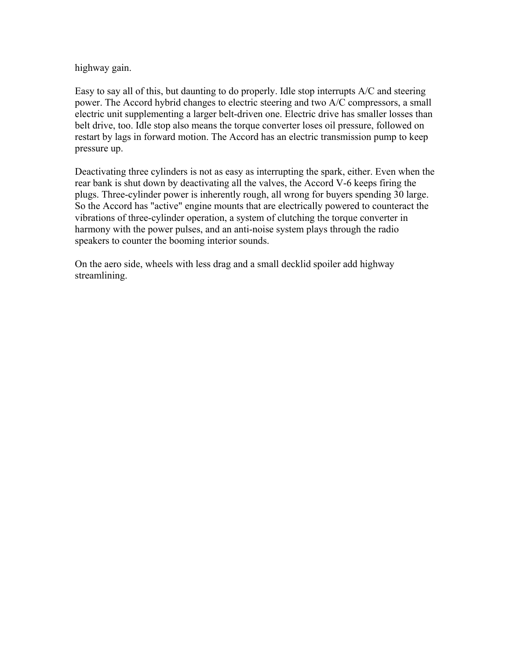highway gain.

Easy to say all of this, but daunting to do properly. Idle stop interrupts A/C and steering power. The Accord hybrid changes to electric steering and two A/C compressors, a small electric unit supplementing a larger belt-driven one. Electric drive has smaller losses than belt drive, too. Idle stop also means the torque converter loses oil pressure, followed on restart by lags in forward motion. The Accord has an electric transmission pump to keep pressure up.

Deactivating three cylinders is not as easy as interrupting the spark, either. Even when the rear bank is shut down by deactivating all the valves, the Accord V-6 keeps firing the plugs. Three-cylinder power is inherently rough, all wrong for buyers spending 30 large. So the Accord has "active" engine mounts that are electrically powered to counteract the vibrations of three-cylinder operation, a system of clutching the torque converter in harmony with the power pulses, and an anti-noise system plays through the radio speakers to counter the booming interior sounds.

On the aero side, wheels with less drag and a small decklid spoiler add highway streamlining.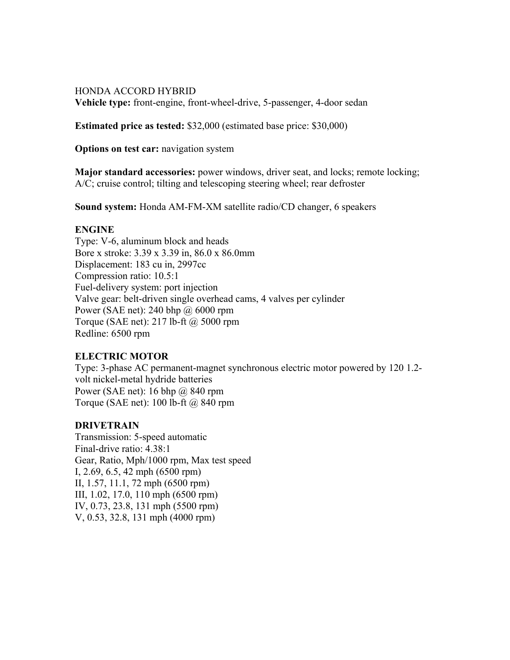## HONDA ACCORD HYBRID **Vehicle type:** front-engine, front-wheel-drive, 5-passenger, 4-door sedan

**Estimated price as tested:** \$32,000 (estimated base price: \$30,000)

**Options on test car:** navigation system

**Major standard accessories:** power windows, driver seat, and locks; remote locking; A/C; cruise control; tilting and telescoping steering wheel; rear defroster

**Sound system:** Honda AM-FM-XM satellite radio/CD changer, 6 speakers

# **ENGINE**

Type: V-6, aluminum block and heads Bore x stroke: 3.39 x 3.39 in, 86.0 x 86.0mm Displacement: 183 cu in, 2997cc Compression ratio: 10.5:1 Fuel-delivery system: port injection Valve gear: belt-driven single overhead cams, 4 valves per cylinder Power (SAE net): 240 bhp @ 6000 rpm Torque (SAE net): 217 lb-ft @ 5000 rpm Redline: 6500 rpm

# **ELECTRIC MOTOR**

Type: 3-phase AC permanent-magnet synchronous electric motor powered by 120 1.2 volt nickel-metal hydride batteries Power (SAE net): 16 bhp @ 840 rpm Torque (SAE net): 100 lb-ft @ 840 rpm

# **DRIVETRAIN**

Transmission: 5-speed automatic Final-drive ratio: 4.38:1 Gear, Ratio, Mph/1000 rpm, Max test speed I, 2.69, 6.5, 42 mph (6500 rpm) II, 1.57, 11.1, 72 mph (6500 rpm) III, 1.02, 17.0, 110 mph (6500 rpm) IV, 0.73, 23.8, 131 mph (5500 rpm) V, 0.53, 32.8, 131 mph (4000 rpm)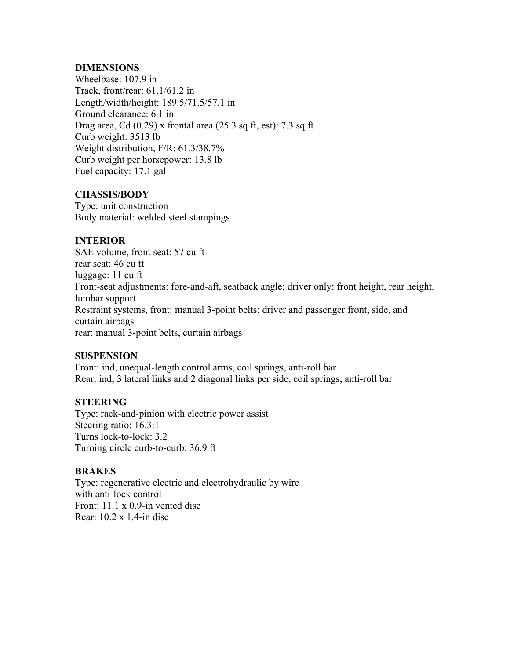#### **DIMENSIONS**

Wheelbase: 107.9 in Track, front/rear: 61.1/61.2 in Length/width/height: 189.5/71.5/57.1 in Ground clearance: 6.1 in Drag area, Cd  $(0.29)$  x frontal area  $(25.3 \text{ sq ft, est})$ : 7.3 sq ft Curb weight: 3513 lb Weight distribution, F/R: 61.3/38.7% Curb weight per horsepower: 13.8 lb Fuel capacity: 17.1 gal

## **CHASSIS/BODY**

Type: unit construction Body material: welded steel stampings

# **INTERIOR**

SAE volume, front seat: 57 cu ft rear seat: 46 cu ft luggage: 11 cu ft Front-seat adjustments: fore-and-aft, seatback angle; driver only: front height, rear height, lumbar support Restraint systems, front: manual 3-point belts; driver and passenger front, side, and curtain airbags rear: manual 3-point belts, curtain airbags

#### **SUSPENSION**

Front: ind, unequal-length control arms, coil springs, anti-roll bar Rear: ind, 3 lateral links and 2 diagonal links per side, coil springs, anti-roll bar

#### **STEERING**

Type: rack-and-pinion with electric power assist Steering ratio: 16.3:1 Turns lock-to-lock: 3.2 Turning circle curb-to-curb: 36.9 ft

#### **BRAKES**

Type: regenerative electric and electrohydraulic by wire with anti-lock control Front: 11.1 x 0.9-in vented disc Rear: 10.2 x 1.4-in disc